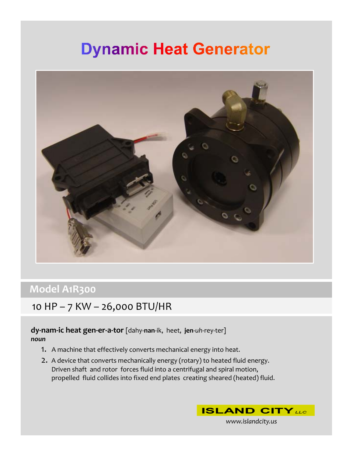# **Dynamic Heat Generator**



### **Model A1R300**

### 10 HP – 7 KW – 26,000 BTU/HR

### **dy‐nam‐ic heat gen‐er‐a‐tor** [dahy‐**nan**‐ik, heet, **jen**‐*uh*‐rey‐ter] *noun*

- 1. A machine that effectively converts mechanical energy into heat.
- 2. A device that converts mechanically energy (rotary) to heated fluid energy. Driven shaft and rotor forces fluid into a centrifugal and spiral motion, propelled fluid collides into fixed end plates creating sheared (heated) fluid.